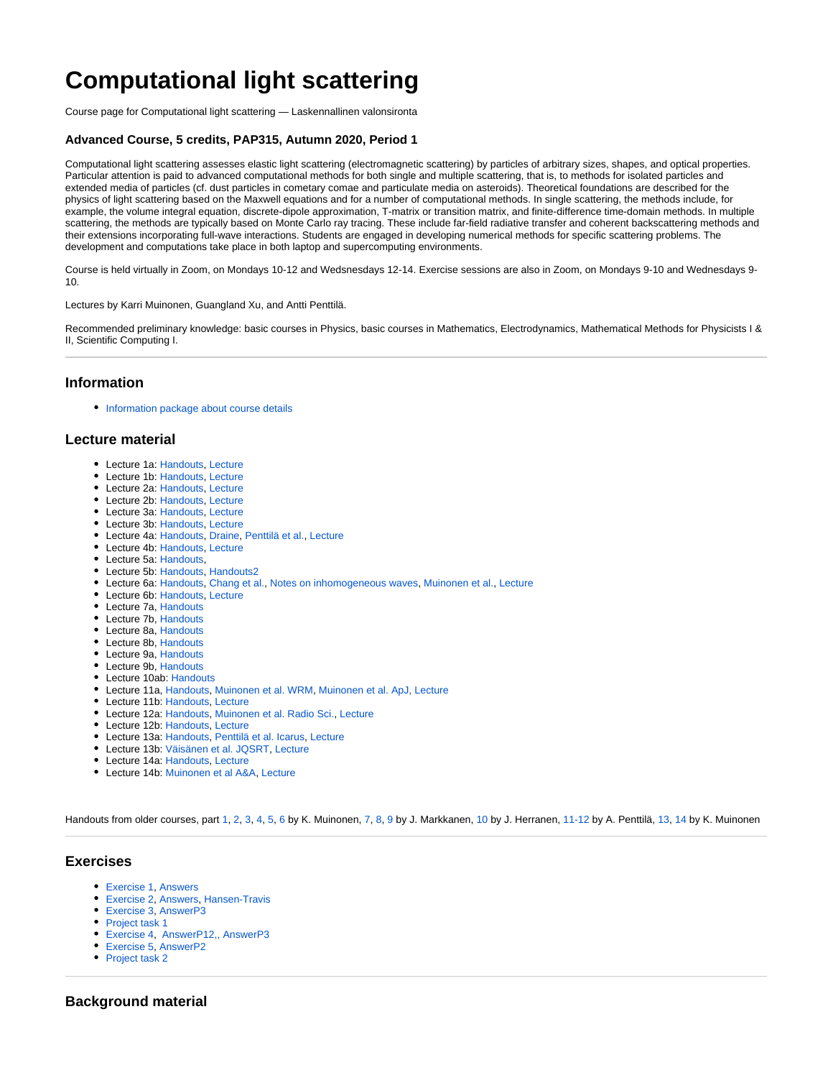# **Computational light scattering**

Course page for Computational light scattering — Laskennallinen valonsironta

### **Advanced Course, 5 credits, PAP315, Autumn 2020, Period 1**

Computational light scattering assesses elastic light scattering (electromagnetic scattering) by particles of arbitrary sizes, shapes, and optical properties. Particular attention is paid to advanced computational methods for both single and multiple scattering, that is, to methods for isolated particles and extended media of particles (cf. dust particles in cometary comae and particulate media on asteroids). Theoretical foundations are described for the physics of light scattering based on the Maxwell equations and for a number of computational methods. In single scattering, the methods include, for example, the volume integral equation, discrete-dipole approximation, T-matrix or transition matrix, and finite-difference time-domain methods. In multiple scattering, the methods are typically based on Monte Carlo ray tracing. These include far-field radiative transfer and coherent backscattering methods and their extensions incorporating full-wave interactions. Students are engaged in developing numerical methods for specific scattering problems. The development and computations take place in both laptop and supercomputing environments.

Course is held virtually in Zoom, on Mondays 10-12 and Wedsnesdays 12-14. Exercise sessions are also in Zoom, on Mondays 9-10 and Wednesdays 9- 10.

Lectures by Karri Muinonen, Guangland Xu, and Antti Penttilä.

Recommended preliminary knowledge: basic courses in Physics, basic courses in Mathematics, Electrodynamics, Mathematical Methods for Physicists I & II, Scientific Computing I.

### **Information**

• [Information package about course details](https://wiki.helsinki.fi/download/attachments/350261470/CLS_info_2020-10-14.pdf?version=1&modificationDate=1602657956592&api=v2)

### **Lecture material**

- Lecture 1a: [Handouts,](https://wiki.helsinki.fi/download/attachments/350261470/Lecture1a_CLS_info_2020-08-31.pdf?version=1&modificationDate=1599029695454&api=v2) [Lecture](https://helsinkifi-my.sharepoint.com/:v:/g/personal/aipentti_ad_helsinki_fi/EfmDPKlt8IVNnSYFOKg7-KQBcCNuB7o-SWB3ZXuxfREgSA?e=lqmNtH)
- Lecture 1b: [Handouts,](https://wiki.helsinki.fi/download/attachments/350261470/Lecture1b.pdf?version=1&modificationDate=1599030359960&api=v2) [Lecture](https://helsinkifi-my.sharepoint.com/:v:/g/personal/aipentti_ad_helsinki_fi/EUWYpM_PmOFHi3Vu34gKBV0ByZw18q89Bc9axQx8EK46mw?e=kbOieN)
- Lecture 2a: [Handouts,](https://wiki.helsinki.fi/download/attachments/350261470/Lecture2a.pdf?version=1&modificationDate=1599047107187&api=v2) [Lecture](https://helsinkifi-my.sharepoint.com/:v:/g/personal/aipentti_ad_helsinki_fi/EQ6XlFLE7DxIpOh4isrGU-oBbpoKRsHpgDzQJb5Xuc41xg?e=avDL4h)
- Lecture 2b: [Handouts,](https://wiki.helsinki.fi/download/attachments/350261470/Lecture2b.pdf?version=1&modificationDate=1599047108471&api=v2) [Lecture](https://helsinkifi-my.sharepoint.com/:v:/g/personal/aipentti_ad_helsinki_fi/EWlzmNLcm1xGuFoovPXpYTIBa63vUES2oKJIT4id1codKA?e=BNrrLJ)
- Lecture 3a: [Handouts,](https://wiki.helsinki.fi/download/attachments/350261470/Lecture3a.pdf?version=1&modificationDate=1599552637637&api=v2) [Lecture](https://helsinkifi-my.sharepoint.com/:v:/g/personal/aipentti_ad_helsinki_fi/Eeqa91o1l4lKin1p4k5Gho4Bz6HXA_p4zQ5U8YQ7zRkjPQ?e=LlMUfc)
- Lecture 3b: [Handouts,](https://wiki.helsinki.fi/download/attachments/350261470/Lecture3b.pdf?version=1&modificationDate=1599552653156&api=v2) [Lecture](https://helsinkifi-my.sharepoint.com/:v:/g/personal/aipentti_ad_helsinki_fi/Ed0XvK48Ay1HouQx2qssZw4BLdmvGLCXZcf_h2nno6K-Iw?e=s1rKH8)
- Lecture 4a: [Handouts,](https://wiki.helsinki.fi/download/attachments/350261470/Lecture4a.pdf?version=1&modificationDate=1599646398945&api=v2) [Draine](https://wiki.helsinki.fi/download/attachments/350261470/Lecture4a_Draine.pdf?version=1&modificationDate=1599646431413&api=v2), [Penttilä et al.,](https://wiki.helsinki.fi/download/attachments/350261470/Lecture4a_Penttila_etal_JQSRT2007.pdf?version=1&modificationDate=1599646452499&api=v2) [Lecture](https://helsinkifi-my.sharepoint.com/:v:/g/personal/aipentti_ad_helsinki_fi/EVab-LiLMFhNj8-uFw-q5uwByTu9XmBeYeQO3bmlr-NsZA?e=k0ee0L)
- Lecture 4b: [Handouts,](https://wiki.helsinki.fi/download/attachments/350261470/Lecture4b.pdf?version=1&modificationDate=1599650006269&api=v2) [Lecture](https://helsinkifi-my.sharepoint.com/:v:/g/personal/aipentti_ad_helsinki_fi/EfCTSS2ZIs5Jm6NNpoqseTMBhRV6JPefNpVE9SyBdcbtNw?e=jFwcf4)
- Lecture 5a: [Handouts,](https://wiki.helsinki.fi/download/attachments/350261470/Lecture-Formulation-of-1D-FDTD.pdf?version=1&modificationDate=1600075209507&api=v2)
- Lecture 5b: [Handouts,](https://wiki.helsinki.fi/download/attachments/350261470/Lecture-Implementation-of-1D-FDTD.pdf?version=1&modificationDate=1600075266279&api=v2) [Handouts2](https://wiki.helsinki.fi/download/attachments/350261470/Lecture-Learning-From-1D-FDTD.pdf?version=1&modificationDate=1600075307444&api=v2)
- Lecture 6a: [Handouts,](https://wiki.helsinki.fi/download/attachments/350261470/Lecture6a.pdf?version=1&modificationDate=1600250637500&api=v2) [Chang et al.](https://wiki.helsinki.fi/download/attachments/350261470/Lecture6a_JQSRT_Chang_et_al_2005.pdf?version=1&modificationDate=1600250654896&api=v2), [Notes on inhomogeneous waves](https://wiki.helsinki.fi/download/attachments/350261470/Lecture6a_Inhomogeneous_plane_waves.pdf?version=1&modificationDate=1600250682055&api=v2), [Muinonen et al.,](https://wiki.helsinki.fi/download/attachments/350261470/Lecture6a_Muinonen_etal_JQSRT1996.pdf?version=1&modificationDate=1600250704274&api=v2) [Lecture](https://helsinkifi-my.sharepoint.com/:v:/g/personal/aipentti_ad_helsinki_fi/EVzR9hOBm9BCpFP-gvOYDPsBNDF3c11em15qDEupUVeTZw?e=DvDKIm)
- Lecture 6b: [Handouts,](https://wiki.helsinki.fi/download/attachments/350261470/Lecture6b.pdf?version=1&modificationDate=1600254596040&api=v2) [Lecture](https://helsinkifi-my.sharepoint.com/:v:/g/personal/aipentti_ad_helsinki_fi/EaMCsbBnaiVAtE9_7J7CA-IBYAz0ekb7IQwUD9ih3Uvp9w?e=nO7MGJ)
- Lecture 7a, [Handouts](https://wiki.helsinki.fi/download/attachments/350261470/Lecture7a.pdf?version=2&modificationDate=1600670350765&api=v2)
- Lecture 7b, [Handouts](https://wiki.helsinki.fi/download/attachments/350261470/Lecture7b.pdf?version=1&modificationDate=1600678957622&api=v2)
- Lecture 8a, [Handouts](https://wiki.helsinki.fi/download/attachments/350261470/vol433-1991-Mackowski-Analysis%20of%20radiative%20scattering%20for%20multiple%20sphere%20configurations.pdf?version=1&modificationDate=1600848937640&api=v2)
- Lecture 8b, [Handouts](https://wiki.helsinki.fi/download/attachments/350261470/Lecture8b.pdf?version=1&modificationDate=1600848966115&api=v2)
- Lecture 9a, [Handouts](https://wiki.helsinki.fi/download/attachments/350261470/L1.pdf?version=1&modificationDate=1601281736972&api=v2)
- Lecture 9b, [Handouts](https://wiki.helsinki.fi/download/attachments/350261470/L2.pdf?version=1&modificationDate=1601281757897&api=v2)
- Lecture 10ab: [Handouts](https://wiki.helsinki.fi/download/attachments/350261470/L3.pdf?version=1&modificationDate=1601465160292&api=v2)
- Lecture 11a, [Handouts,](https://wiki.helsinki.fi/download/attachments/350261470/Lecture11a.pdf?version=1&modificationDate=1602053459235&api=v2) [Muinonen et al. WRM](https://wiki.helsinki.fi/download/attachments/350261470/Lecture11a_Muinonen_WRM2004.pdf?version=1&modificationDate=1602053532186&api=v2), [Muinonen et al. ApJ,](https://wiki.helsinki.fi/download/attachments/350261470/Lecture11a_Muinonen_etal_ApJ2012.pdf?version=1&modificationDate=1602053554322&api=v2) [Lecture](https://helsinkifi-my.sharepoint.com/:v:/g/personal/aipentti_ad_helsinki_fi/EX2fwY55hzhHtX3oewqmU9sBQ9FLkUeq9ZP82LAr_g5cWg?e=k7srrt)
- Lecture 11b: [Handouts,](https://wiki.helsinki.fi/download/attachments/350261470/Lecture11b.pdf?version=1&modificationDate=1601549264974&api=v2) [Lecture](https://helsinkifi-my.sharepoint.com/:v:/g/personal/aipentti_ad_helsinki_fi/EevbDdCGditAhkGGufR3ImEBf_4LrO5R2XbUGkMhZB4EjA?e=P9jAeH)
- Lecture 12a: [Handouts,](https://wiki.helsinki.fi/download/attachments/350261470/Lecture12a.pdf?version=1&modificationDate=1602071620833&api=v2) [Muinonen et al. Radio Sci.,](https://wiki.helsinki.fi/download/attachments/350261470/Lecture12a_Muinonen_etal_RadioScience2017.pdf?version=1&modificationDate=1602071683785&api=v2) [Lecture](https://helsinkifi-my.sharepoint.com/:v:/g/personal/aipentti_ad_helsinki_fi/EWHvY6oikTFBoCY47zx6ZI0BgCd7LcLel9Ahj-A3o1LK-w?e=6Yh2qS)
- Lecture 12b: [Handouts,](https://wiki.helsinki.fi/download/attachments/350261470/Lecture12b.pdf?version=1&modificationDate=1602071281416&api=v2) [Lecture](https://helsinkifi-my.sharepoint.com/:v:/g/personal/aipentti_ad_helsinki_fi/EaOhcN7i7vtGtnTm6bO8gFcBt9ylPR5dRo5vMjly6Z-M3A?e=AafEfs)
- Lecture 13a: [Handouts,](https://wiki.helsinki.fi/download/attachments/350261470/Lecture13a.pdf?version=1&modificationDate=1602496056608&api=v2) [Penttilä et al. Icarus,](https://wiki.helsinki.fi/download/attachments/350261470/Lecture13a_Penttila_etal_Icarus2020.pdf?version=1&modificationDate=1602496079185&api=v2) [Lecture](https://helsinkifi-my.sharepoint.com/:v:/g/personal/aipentti_ad_helsinki_fi/ETg-7lqo7OlNnCrcWAXan6QByYLBWVv1PL67p4haqMzcrw?e=CAfmdf)
- Lecture 13b: [Väisänen et al. JQSRT](https://wiki.helsinki.fi/download/attachments/350261470/Lecture13b_Vaisanen_etal_JQSRT2020.pdf?version=1&modificationDate=1602496124533&api=v2), [Lecture](https://helsinkifi-my.sharepoint.com/:v:/g/personal/aipentti_ad_helsinki_fi/EUP7meVRLlJOpCUiiT-jvtkB4ObLZgsdYyAoiHFQ_TqH9w?e=z7ZTTI)
- Lecture 14a: [Handouts,](https://wiki.helsinki.fi/download/attachments/350261470/Lecture14a.pdf?version=1&modificationDate=1602674420475&api=v2) [Lecture](https://helsinkifi-my.sharepoint.com/:v:/g/personal/aipentti_ad_helsinki_fi/EXRaSUz4tpVOiRnNKvUqKl0BTKPGJe6TexVX-VTa3dP2qA?e=IIbne4)
- Lecture 14b: [Muinonen et al A&A](https://wiki.helsinki.fi/download/attachments/350261470/Lecture14_MCMC_lightcurve_inversion_Muinonen_etal_AA2020_revised2.pdf?version=1&modificationDate=1602658271317&api=v2), [Lecture](https://helsinkifi-my.sharepoint.com/:v:/g/personal/aipentti_ad_helsinki_fi/ER8ASWp9YK5AuBN4rgDUx0kBn5pS3cM1gvQ-OYWTRI5kpw?e=cf6YQR)

Handouts from older courses, part [1,](https://wiki.helsinki.fi/download/attachments/350261470/emsca1_lect01.pdf?version=1&modificationDate=1598944408090&api=v2) [2](https://wiki.helsinki.fi/download/attachments/350261470/emsca1_lect02.pdf?version=1&modificationDate=1598944408088&api=v2), [3](https://wiki.helsinki.fi/download/attachments/350261470/emsca1_lect03.pdf?version=1&modificationDate=1598944408087&api=v2), [4,](https://wiki.helsinki.fi/download/attachments/350261470/emsca1_lect04.pdf?version=1&modificationDate=1598944408091&api=v2) [5](https://wiki.helsinki.fi/download/attachments/350261470/emsca1_lect05.pdf?version=1&modificationDate=1598944408053&api=v2), [6](https://wiki.helsinki.fi/download/attachments/350261470/emsca1_lect06.pdf?version=1&modificationDate=1598944408051&api=v2) by K. Muinonen, [7](https://wiki.helsinki.fi/download/attachments/350261470/lec1_2016.pdf?version=1&modificationDate=1598944408054&api=v2), [8,](https://wiki.helsinki.fi/download/attachments/350261470/fdtd.pdf?version=1&modificationDate=1598944408048&api=v2) [9](https://wiki.helsinki.fi/download/attachments/350261470/FEM.pdf?version=1&modificationDate=1598944408045&api=v2) by J. Markkanen, [10](https://wiki.helsinki.fi/download/attachments/350261470/scadyn.pdf?version=1&modificationDate=1598944408031&api=v2) by J. Herranen, [11-12](https://wiki.helsinki.fi/download/attachments/350261470/11-12-codes.pdf?version=1&modificationDate=1598944408025&api=v2) by A. Penttilä, [13](https://wiki.helsinki.fi/download/attachments/350261470/emsca1_lect13.pdf?version=1&modificationDate=1598944408029&api=v2), [14](https://wiki.helsinki.fi/download/attachments/350261470/emsca1_lect14.pdf?version=1&modificationDate=1598944408028&api=v2) by K. Muinonen

### **Exercises**

- [Exercise 1](https://wiki.helsinki.fi/download/attachments/350261470/exercise1.pdf?version=2&modificationDate=1599542382416&api=v2), [Answers](https://wiki.helsinki.fi/download/attachments/350261470/exercise1_answers.pdf?version=1&modificationDate=1599634679249&api=v2)
- [Exercise 2](https://wiki.helsinki.fi/download/attachments/350261470/exercise2.pdf?version=2&modificationDate=1599542395735&api=v2), [Answers,](https://wiki.helsinki.fi/download/attachments/350261470/exercise2_answers.pdf?version=1&modificationDate=1600240760831&api=v2) [Hansen-Travis](https://wiki.helsinki.fi/download/attachments/350261470/Hansen-Travis.pdf?version=1&modificationDate=1600240819736&api=v2)
- [Exercise 3](https://wiki.helsinki.fi/download/attachments/350261470/exercise3.pdf?version=2&modificationDate=1600075392394&api=v2), [AnswerP3](https://wiki.helsinki.fi/download/attachments/350261470/exercise3_answer3.pdf?version=1&modificationDate=1601273496676&api=v2)
- [Project task 1](https://wiki.helsinki.fi/download/attachments/350261470/Project_task_1.pdf?version=1&modificationDate=1600773283636&api=v2)
- [Exercise 4](https://wiki.helsinki.fi/download/attachments/350261470/exercise4.pdf?version=2&modificationDate=1601273316485&api=v2), [AnswerP12,](https://wiki.helsinki.fi/download/attachments/350261470/Ex4_p1p2.zip?version=2&modificationDate=1603276826089&api=v2)[,](https://wiki.helsinki.fi/download/attachments/350261470/Makefile?version=1&modificationDate=1601901407790&api=v2) [AnswerP3](https://wiki.helsinki.fi/download/attachments/350261470/exercise4_answer3.pdf?version=1&modificationDate=1602053288089&api=v2)
- [Exercise 5](https://wiki.helsinki.fi/download/attachments/350261470/exercise5.pdf?version=2&modificationDate=1602658050461&api=v2), [AnswerP2](https://wiki.helsinki.fi/download/attachments/350261470/Lecture11a_Muinonen_WRM2004.pdf?version=1&modificationDate=1602053532186&api=v2)
- [Project task 2](https://wiki.helsinki.fi/download/attachments/350261470/Project_task_2.pdf?version=1&modificationDate=1602051926053&api=v2)

### **Background material**